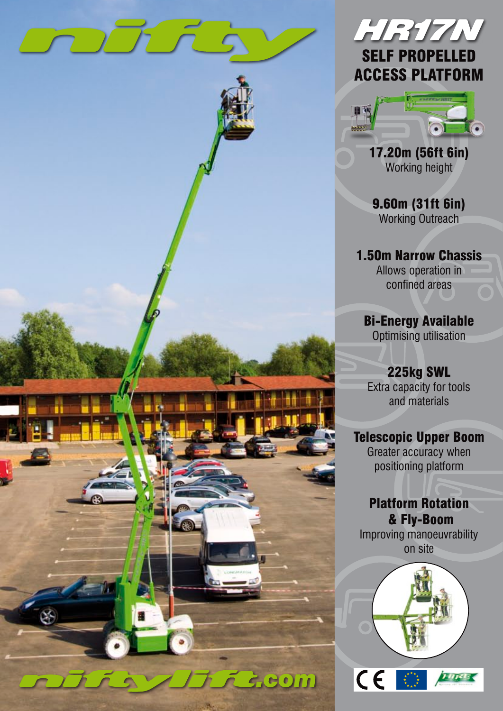

# HR17N SELF PROPELLED ACCESS PLATFORM



17.20m (56ft 6in) Working height

9.60m (31ft 6in) Working Outreach

1.50m Narrow Chassis Allows operation in confined areas

Bi-Energy Available Optimising utilisation

225kg SWL Extra capacity for tools and materials

## Telescopic Upper Boom

Greater accuracy when positioning platform

Platform Rotation & Fly-Boom Improving manoeuvrability on site